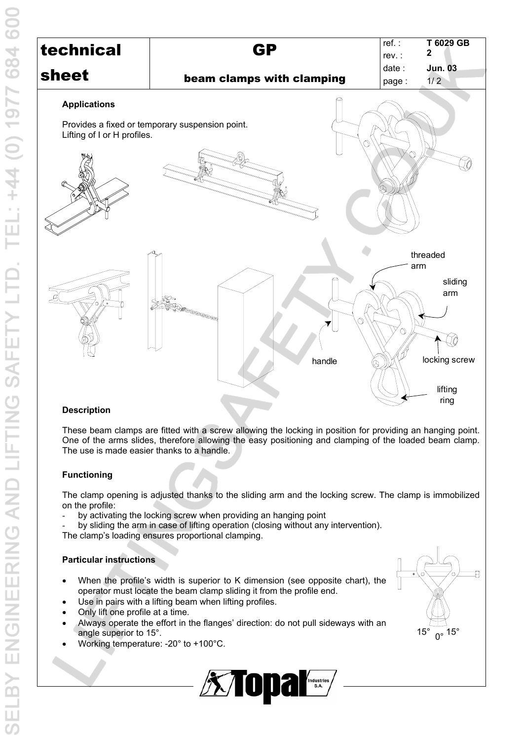

# **Description**

These beam clamps are fitted with a screw allowing the locking in position for providing an hanging point. One of the arms slides, therefore allowing the easy positioning and clamping of the loaded beam clamp. The use is made easier thanks to a handle.

#### **Functioning**

The clamp opening is adjusted thanks to the sliding arm and the locking screw. The clamp is immobilized on the profile:

- by activating the locking screw when providing an hanging point
- by sliding the arm in case of lifting operation (closing without any intervention).

The clamp's loading ensures proportional clamping.

# **Particular instructions**

- When the profile's width is superior to K dimension (see opposite chart), the operator must locate the beam clamp sliding it from the profile end.
- Use in pairs with a lifting beam when lifting profiles.
- Only lift one profile at a time.
- Always operate the effort in the flanges' direction: do not pull sideways with an angle superior to 15°.
- Working temperature: -20° to +100°C.